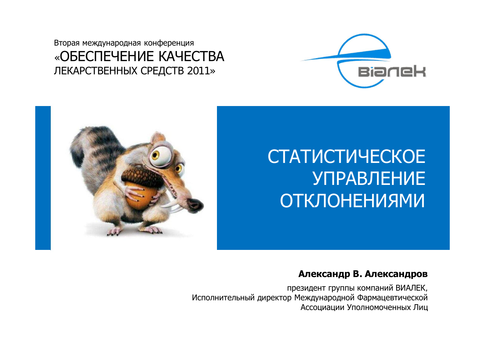Вторая международная конференция «ОБЕСПЕЧЕНИЕ КАЧЕСТВА ЛЕКАРСТВЕННЫХ СРЕДСТВ 2011»



# **СТАТИСТИЧЕСКОЕ УПРАВЛЕНИЕ ОТКЛОНЕНИЯМИ**



#### Александр В. Александров

президент группы компаний ВИАЛЕК, Исполнительный директор Международной Фармацевтической Ассоциации Уполномоченных Лиц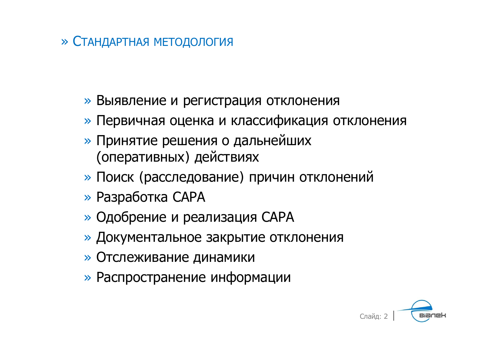## » СТАНДАРТНАЯ МЕТОДОЛОГИЯ

- » Выявление и регистрация отклонения
- » Первичная оценка и классификация отклонения
- » Принятие решения о дальнейших (оперативных) действиях
- » Поиск (расследование) причин отклонений
- » Разработка САРА
- » Одобрение и реализация САРА
- » Документальное закрытие отклонения
- » Отслеживание динамики
- » Распространение информации

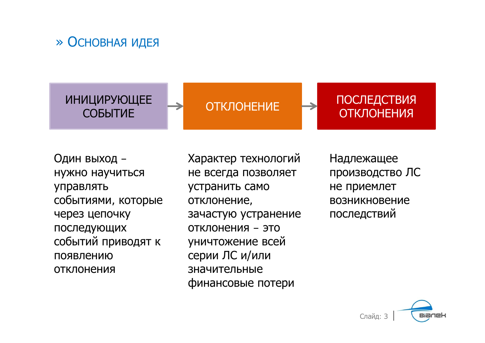## » ОСНОВНАЯ ИДЕЯ

**ИНИЦИРУЮЩЕЕ** 

ǹǶǩȃǺǰǭ ǶǺDzdzǶǵǭǵǰǭ ǷǶǹdzǭǬǹǺǪǰȇ **ОТКЛОНЕНИЯ** 

Один выход – нужно научиться управлять событиями, которые через цепочку последующих событий приводят к ПОЯВЛЕНИЮ **ОТКЛОНЕНИЯ** 

Характер технологий не всегда позволяет устранить само отклонение, зачастую устранение ОТКЛОНЕНИЯ – ЭТО уничтожение всей серии ЛС и/или значительные финансовые потери

Надлежащее производство ЛС не приемлет ВОЗНИКНОВЕНИЕ последствий

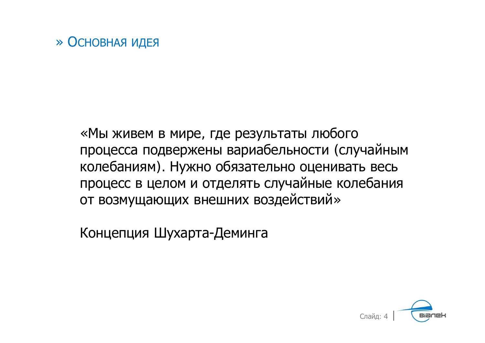## » ОСНОВНАЯ ИДЕЯ

«Мы живем в мире, где результаты любого процесса подвержены вариабельности (случайным колебаниям). Нужно обязательно оценивать весь процесс в целом и отделять случайные колебания от возмущающих внешних воздействий»

Концепция Шухарта-Деминга

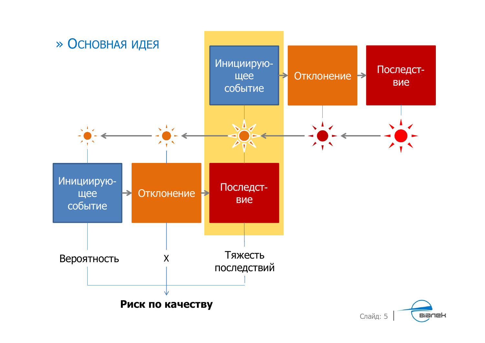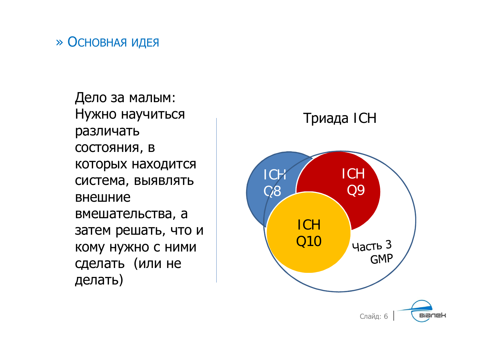### » ОСНОВНАЯ ИДЕЯ

Дело за малым: Нужно научиться различать СОСТОЯНИЯ, В которых находится система, выявлять **ВНАШНИА** вмешательства, а затем решать, что и кому нужно с ними сделать (или не делать)

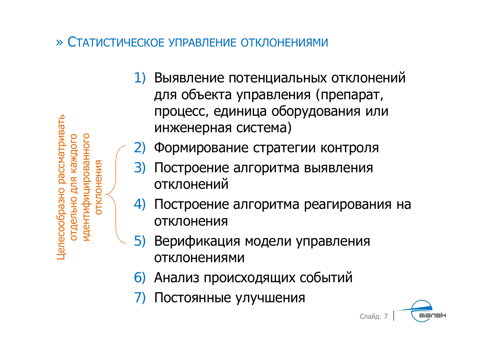Јелесообразно рассматривать отдельно для каждого лдентифицированного **ЭТКЛОНЕНИЯ** 

- 1) Выявление потенциальных отклонений для объекта управления (препарат, процесс, единица оборудования или инженерная система)
- Формирование стратегии контроля 2)
- 3) Построение алгоритма выявления отклонений
- Построение алгоритма реагирования на ОТКЛОНЕНИЯ
- Верификация модели управления  $5)$ ОТКЛОНЕНИЯМИ
- 6) Анализ происходящих событий
- Постоянные улучшения

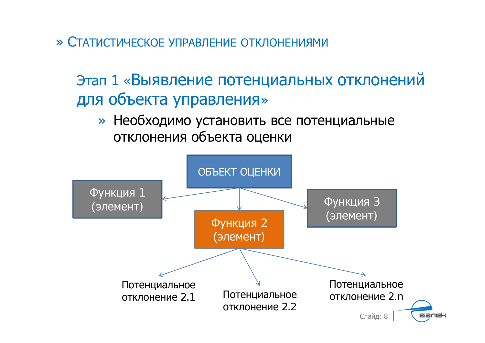# Этап 1 «Выявление потенциальных отклонений для объекта управления»

» Необходимо установить все потенциальные отклонения объекта оценки

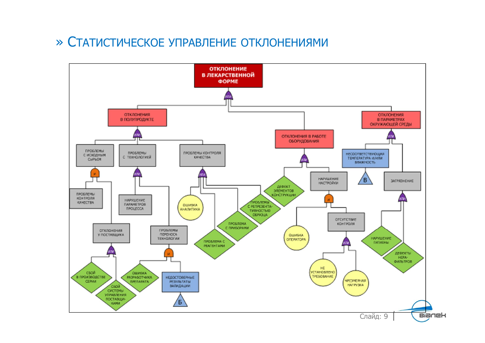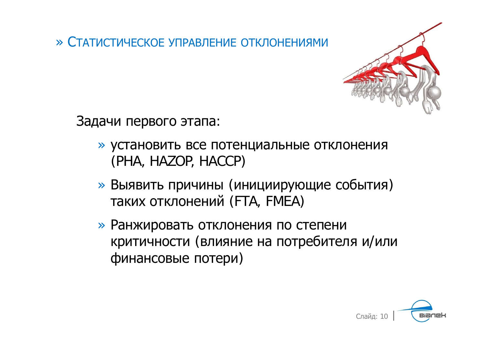

Задачи первого этапа:

- » установить все потенциальные отклонения (PHA, HAZOP, HACCP)
- » Выявить причины (инициирующие события) таких отклонений (FTA, FMEA)
- » Ранжировать отклонения по степени критичности (влияние на потребителя и/или финансовые потери)

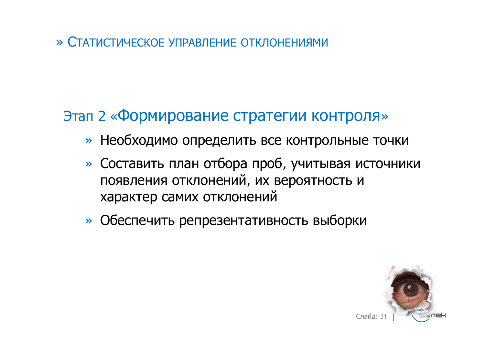## Этап 2 «Формирование стратегии контроля»

- » Необходимо определить все контрольные точки
- » Составить план отбора проб, учитывая источники появления отклонений, их вероятность и характер самих отклонений
- » Обеспечить репрезентативность выборки

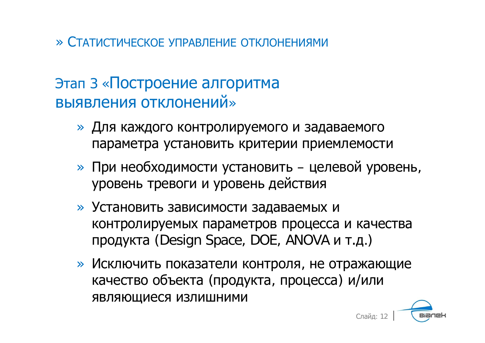## Этап 3 «Построение алгоритма выявления отклонений»

- » Для каждого контролируемого и задаваемого параметра установить критерии приемлемости
- » При необходимости установить целевой уровень, уровень тревоги и уровень действия
- » Установить зависимости задаваемых и контролируемых параметров процесса и качества продукта (Design Space, DOE, ANOVA и т.д.)
- » Исключить показатели контроля, не отражающие качество объекта (продукта, процесса) и/или ЯВЛЯЮЩИЕСЯ ИЗЛИШНИМИ

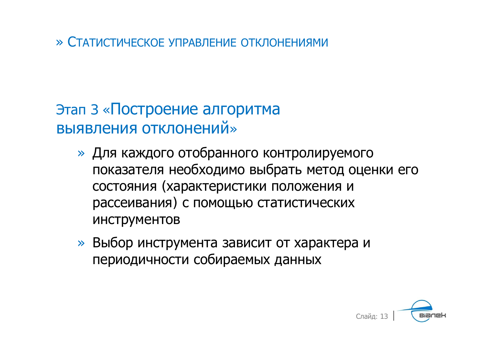# Этап 3 «Построение алгоритма **ВЫЯВЛЕНИЯ ОТКЛОНЕНИЙ»**

- » Для каждого отобранного контролируемого показателя необходимо выбрать метод оценки его состояния (характеристики положения и рассеивания) с помощью статистических **ИНСТРУМЕНТОВ**
- » Выбор инструмента зависит от характера и периодичности собираемых данных

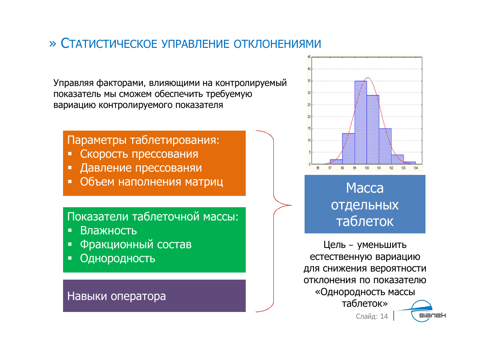Управляя факторами, влияющими на контролируемый показатель мы сможем обеспечить требуемую вариацию контролируемого показателя

#### Параметры таблетирования:

- Скорость прессования
- Давление прессованяи
- Объем наполнения матриц

### Показатели таблеточной массы:

- Влажность  $\blacksquare$
- Фракционный состав Ė
- Однородность

#### Навыки оператора



## **Macca ОТДЕЛЬНЫХ** таблеток

Цель - уменьшить естественную вариацию для снижения вероятности отклонения по показателю «Однородность массы таблеток» Слайд: 14 **Bianek**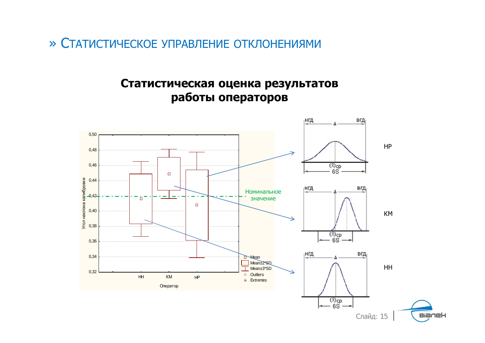### Статистическая оценка результатов работы операторов

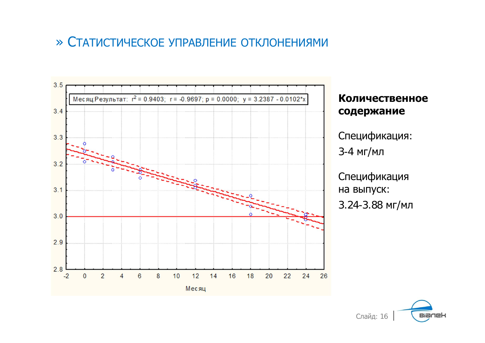

Количественное содержание

Спецификация: 3-4 мг/мл

Спецификация на выпуск: 3.24-3.88 мг/мл

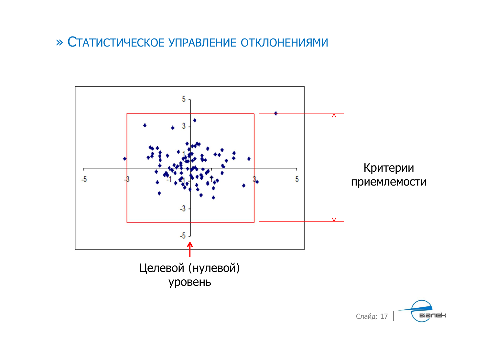

**Bianek** Слайд: 17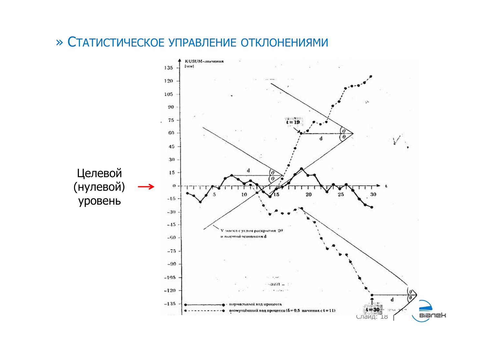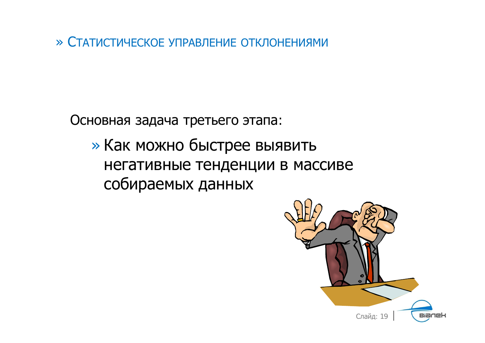Основная задача третьего этапа:

» Как можно быстрее выявить негативные тенденции в массиве собираемых данных

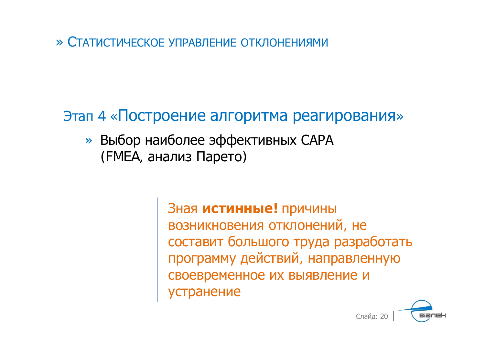## Этап 4 «Построение алгоритма реагирования»

» Выбор наиболее эффективных САРА (FMEA, анализ Парето)

> Зная истинные! причины возникновения отклонений, не составит большого труда разработать программу действий, направленную своевременное их выявление и устранение

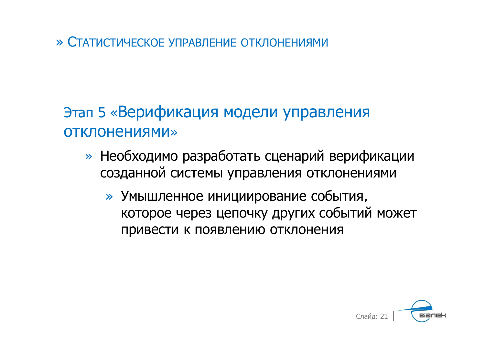# Этап 5 «Верификация модели управления **ОТКЛОНЕНИЯМИ»**

- » Необходимо разработать сценарий верификации созданной системы управления отклонениями
	- » Умышленное инициирование события, которое через цепочку других событий может привести к появлению отклонения

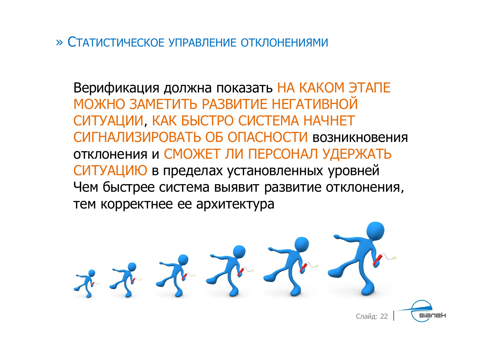Верификация должна показать НА КАКОМ ЭТАПЕ МОЖНО ЗАМЕТИТЬ РАЗВИТИЕ НЕГАТИВНОЙ СИТУАЦИИ, КАК БЫСТРО СИСТЕМА НАЧНЕТ СИГНАЛИЗИРОВАТЬ ОБ ОПАСНОСТИ возникновения ОТКЛОНЕНИЯ И СМОЖЕТ ЛИ ПЕРСОНАЛ УДЕРЖАТЬ СИТУАЦИЮ в пределах установленных уровней Чем быстрее система выявит развитие отклонения, тем корректнее ее архитектура

不死不 Слайд: 22 **Bianek**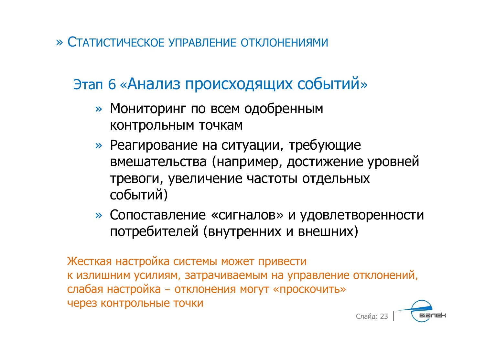# Этап 6 «Анализ происходящих событий»

- » Мониторинг по всем одобренным контрольным точкам
- » Реагирование на ситуации, требующие вмешательства (например, достижение уровней тревоги, увеличение частоты отдельных событий)
- » Сопоставление «сигналов» и удовлетворенности потребителей (внутренних и внешних)

Жесткая настройка системы может привести к излишним усилиям, затрачиваемым на управление отклонений, слабая настройка - отклонения могут «проскочить» через контрольные точки

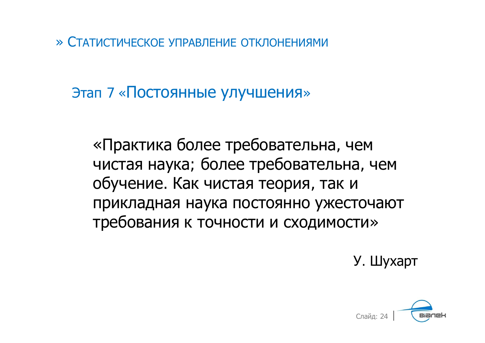Этап 7 «Постоянные улучшения»

«Практика более требовательна, чем чистая наука; более требовательна, чем обучение. Как чистая теория, так и прикладная наука постоянно ужесточают требования к точности и сходимости»

У. Шухарт

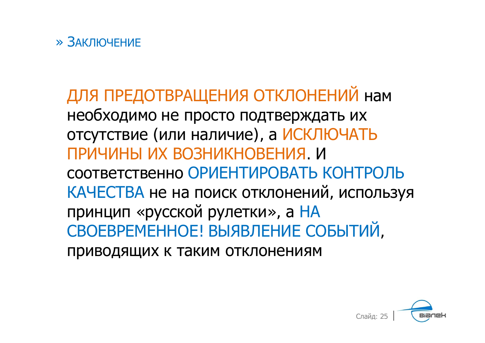ДЛЯ ПРЕДОТВРАЩЕНИЯ ОТКЛОНЕНИЙ НАМ необходимо не просто подтверждать их отсутствие (или наличие), а ИСКЛЮЧАТЬ ПРИЧИНЫ ИХ ВОЗНИКНОВЕНИЯ. И СООТВЕТСТВЕННО ОРИЕНТИРОВАТЬ КОНТРОЛЬ КАЧЕСТВА не на поиск отклонений, используя принцип «русской рулетки», а НА СВОЕВРЕМЕННОЕ! ВЫЯВЛЕНИЕ СОБЫТИЙ, приводящих к таким отклонениям

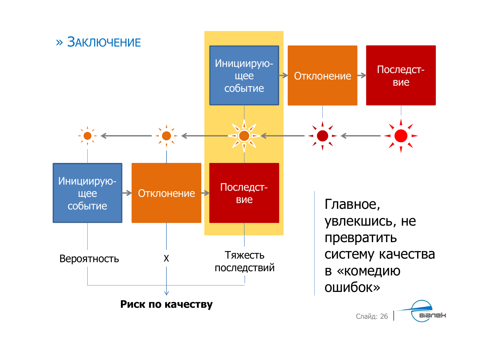